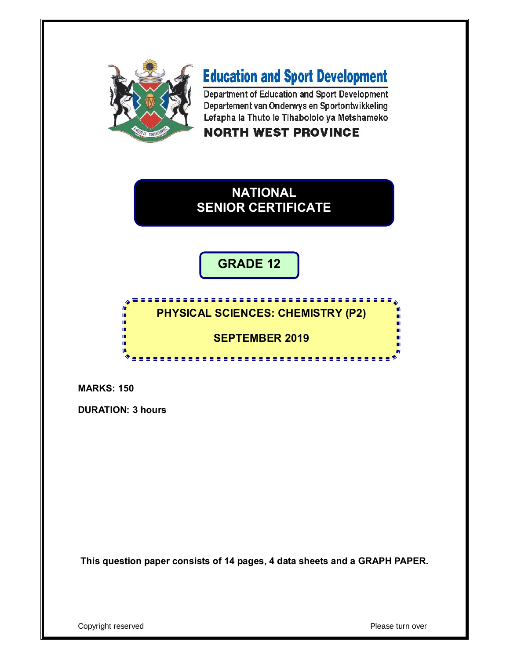

# **Education and Sport Development**

Department of Education and Sport Development Departement van Onderwys en Sportontwikkeling Lefapha la Thuto le Tlhabololo ya Metshameko

# **NORTH WEST PROVINCE**



**GRADE 12**

#### **PHYSICAL SCIENCES: CHEMISTRY (P2)**

**SEPTEMBER 2019**

<u>. . . . . . . . . . . . .</u>

**MARKS: 150**

**DURATION: 3 hours**

í. i,

ú.

ú

ú

ŵ

**This question paper consists of 14 pages, 4 data sheets and a GRAPH PAPER.**

Copyright reserved **Please turn over**  $\blacksquare$ 

ш П

n

'n

п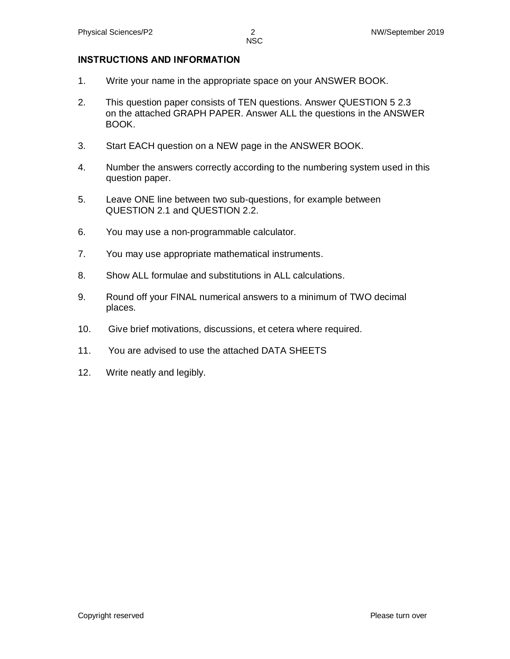#### **INSTRUCTIONS AND INFORMATION**

- 1. Write your name in the appropriate space on your ANSWER BOOK.
- 2. This question paper consists of TEN questions. Answer QUESTION 5 2.3 on the attached GRAPH PAPER. Answer ALL the questions in the ANSWER BOOK.
- 3. Start EACH question on a NEW page in the ANSWER BOOK.
- 4. Number the answers correctly according to the numbering system used in this question paper.
- 5. Leave ONE line between two sub-questions, for example between QUESTION 2.1 and QUESTION 2.2.
- 6. You may use a non-programmable calculator.
- 7. You may use appropriate mathematical instruments.
- 8. Show ALL formulae and substitutions in ALL calculations.
- 9. Round off your FINAL numerical answers to a minimum of TWO decimal places.
- 10. Give brief motivations, discussions, et cetera where required.
- 11. You are advised to use the attached DATA SHEETS
- 12. Write neatly and legibly.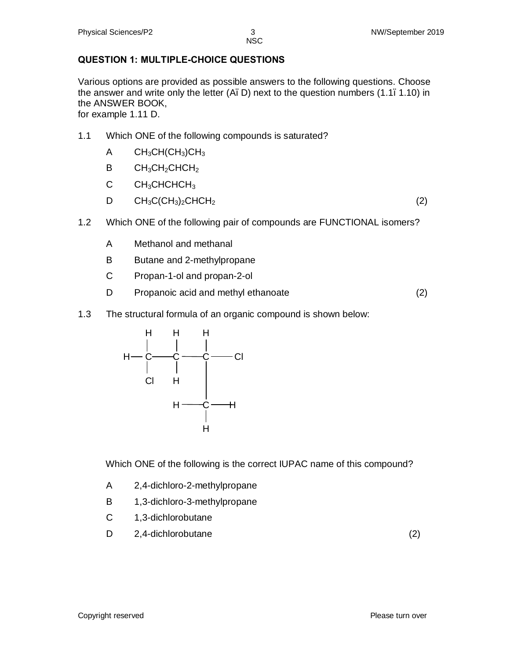# **QUESTION 1: MULTIPLE-CHOICE QUESTIONS**

Various options are provided as possible answers to the following questions. Choose the answer and write only the letter  $(A, D)$  next to the question numbers  $(1.1, 1.10)$  in the ANSWER BOOK,

for example 1.11 D.

- 1.1 Which ONE of the following compounds is saturated?
	- $A$  CH<sub>3</sub>CH(CH<sub>3</sub>)CH<sub>3</sub>
	- $B$   $CH_3CH_2CHCH_2$
	- C CH<sub>3</sub>CHCHCH<sub>3</sub>
	- $D$  CH<sub>3</sub>C(CH<sub>3</sub>)<sub>2</sub>CHCH<sub>2</sub> (2)

- 1.2 Which ONE of the following pair of compounds are FUNCTIONAL isomers?
	- A Methanol and methanal
	- B Butane and 2-methylpropane
	- C Propan-1-ol and propan-2-ol
	- D Propanoic acid and methyl ethanoate (2)
- 1.3 The structural formula of an organic compound is shown below:



Which ONE of the following is the correct IUPAC name of this compound?

- A 2,4-dichloro-2-methylpropane
- B 1,3-dichloro-3-methylpropane
- C 1,3-dichlorobutane
- D 2,4-dichlorobutane (2)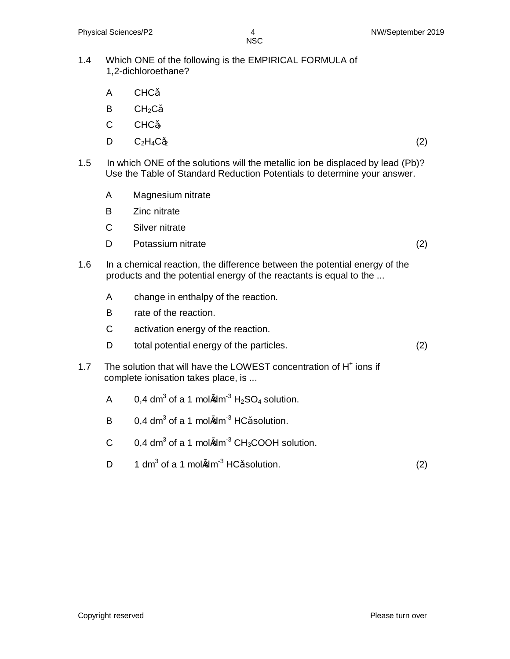- 1.4 Which ONE of the following is the EMPIRICAL FORMULA of 1,2-dichloroethane?
	- A CHC
	- $B$  CH<sub>2</sub>C
	- $C$   $CHC<sub>2</sub>$
	- D  $C_2H_4C_2$  (2)
- 1.5 In which ONE of the solutions will the metallic ion be displaced by lead (Pb)? Use the Table of Standard Reduction Potentials to determine your answer.
	- A Magnesium nitrate
	- B Zinc nitrate
	- C Silver nitrate
	- D Potassium nitrate (2)
- 1.6 In a chemical reaction, the difference between the potential energy of the products and the potential energy of the reactants is equal to the ...
	- A change in enthalpy of the reaction.
	- B rate of the reaction.
	- C activation energy of the reaction.
	- D total potential energy of the particles. (2)
- 1.7 The solution that will have the LOWEST concentration of H<sup>+</sup> ions if complete ionisation takes place, is ...
	- A 0,4 dm<sup>3</sup> of a 1 mol $\textcircled{m}^{-3}$  H<sub>2</sub>SO<sub>4</sub> solution.
	- B 0,4 dm<sup>3</sup> of a 1 mol $\textcircled{m}$ <sup>3</sup> HC solution.
	- C 0,4 dm<sup>3</sup> of a 1 mol $\textcircled{m}^{-3}$  CH<sub>3</sub>COOH solution.
	- D 1 dm<sup>3</sup> of a 1 mol $\textcircled{m}^{-3}$  HC solution. (2)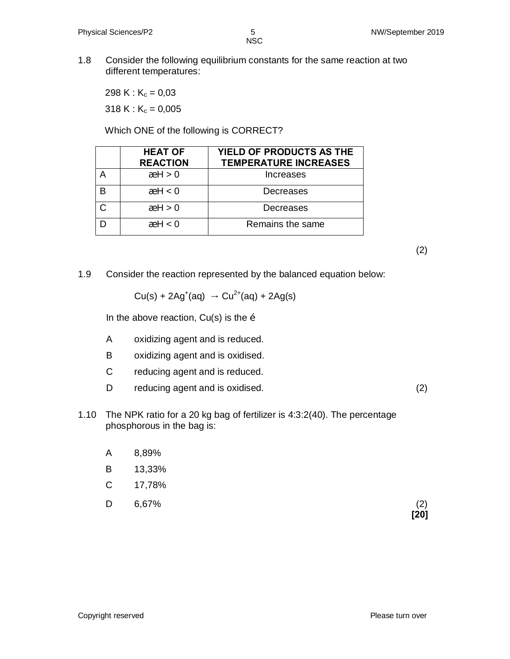1.8 Consider the following equilibrium constants for the same reaction at two different temperatures:

298 K :  $K_c = 0.03$ 318 K :  $K_c = 0,005$ 

Which ONE of the following is CORRECT?

| <b>HEAT OF</b><br><b>REACTION</b> | YIELD OF PRODUCTS AS THE<br><b>TEMPERATURE INCREASES</b> |
|-----------------------------------|----------------------------------------------------------|
| $^a$ H $> 0$                      | Increases                                                |
| $^a$ H $<$ 0                      | Decreases                                                |
| a H > 0                           | Decreases                                                |
| $^a$ H $<$ 0                      | Remains the same                                         |

(2)

1.9 Consider the reaction represented by the balanced equation below:

 $Cu(s) + 2Ag^{(aq)} \rightarrow Cu^{2+}(aq) + 2Ag(s)$ 

In the above reaction,  $Cu(s)$  is the  $\ddot{o}$ 

- A oxidizing agent and is reduced.
- B oxidizing agent and is oxidised.
- C reducing agent and is reduced.
- D reducing agent and is oxidised. (2)
- 1.10 The NPK ratio for a 20 kg bag of fertilizer is 4:3:2(40). The percentage phosphorous in the bag is:
	- A 8,89%
	- B 13,33%
	- C 17,78%
	- $D$  6,67% (2)

 **[20]**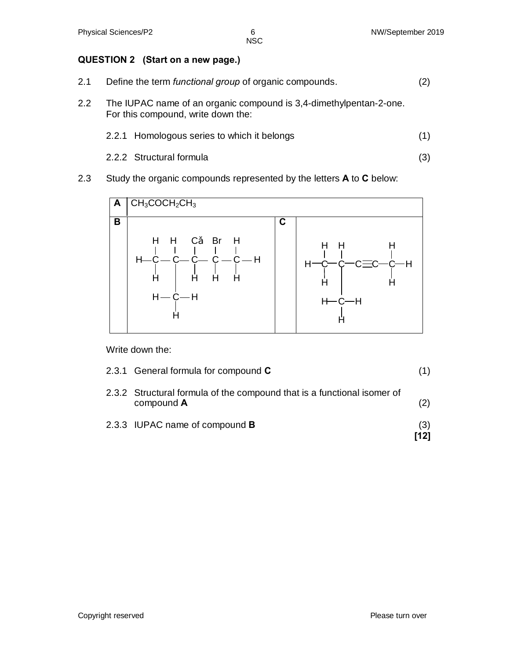# **QUESTION 2 (Start on a new page.)**

- 2.1 Define the term *functional group* of organic compounds. (2)
- 2.2 The IUPAC name of an organic compound is 3,4-dimethylpentan-2-one. For this compound, write down the:
	- 2.2.1 Homologous series to which it belongs (1)
	- 2.2.2 Structural formula (3)
- 2.3 Study the organic compounds represented by the letters **A** to **C** below:



Write down the:

| 2.3.3 IUPAC name of compound <b>B</b>                                                 | (3)<br>[12] |
|---------------------------------------------------------------------------------------|-------------|
| 2.3.2 Structural formula of the compound that is a functional isomer of<br>compound A | (2)         |
| 2.3.1 General formula for compound $C$                                                |             |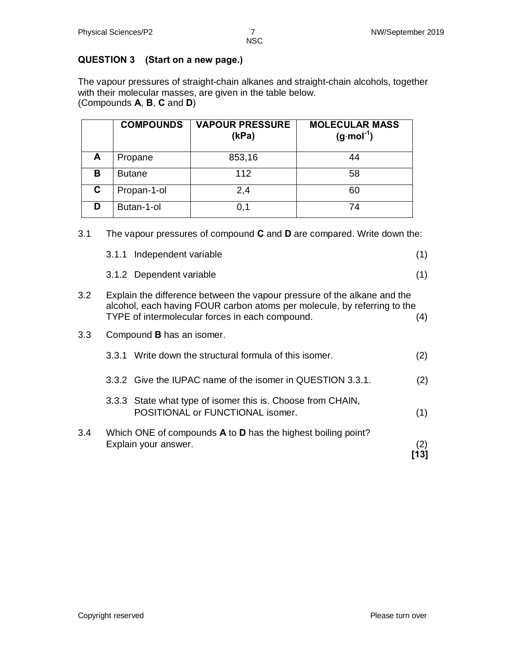# **QUESTION 3 (Start on a new page.)**

The vapour pressures of straight-chain alkanes and straight-chain alcohols, together with their molecular masses, are given in the table below. (Compounds **A**, **B**, **C** and **D**)

|    | <b>COMPOUNDS</b> | <b>VAPOUR PRESSURE</b><br>(kPa) | <b>MOLECULAR MASS</b><br>$(g \cdot mol^{-1})$ |
|----|------------------|---------------------------------|-----------------------------------------------|
| A  | Propane          | 853,16                          |                                               |
| B  | <b>Butane</b>    | 112                             | 58                                            |
| C. | Propan-1-ol      | 2,4                             | 60                                            |
| D  | Butan-1-ol       | 0.1                             | 74                                            |

|     | 3.1.1 Independent variable                                                                                                                                                                              | (1) |
|-----|---------------------------------------------------------------------------------------------------------------------------------------------------------------------------------------------------------|-----|
|     | 3.1.2 Dependent variable                                                                                                                                                                                | (1) |
| 3.2 | Explain the difference between the vapour pressure of the alkane and the<br>alcohol, each having FOUR carbon atoms per molecule, by referring to the<br>TYPE of intermolecular forces in each compound. | 4)  |
| 3.3 | Compound <b>B</b> has an isomer.                                                                                                                                                                        |     |

3.1 The vapour pressures of compound **C** and **D** are compared. Write down the:

|     | 3.3.1 Write down the structural formula of this isomer.                                         | (2) |
|-----|-------------------------------------------------------------------------------------------------|-----|
|     | 3.3.2 Give the IUPAC name of the isomer in QUESTION 3.3.1.                                      | (2) |
|     | 3.3.3 State what type of isomer this is. Choose from CHAIN,<br>POSITIONAL or FUNCTIONAL isomer. | (1) |
| 3.4 | Which ONE of compounds A to D has the highest boiling point?<br>Explain your answer.            | (2) |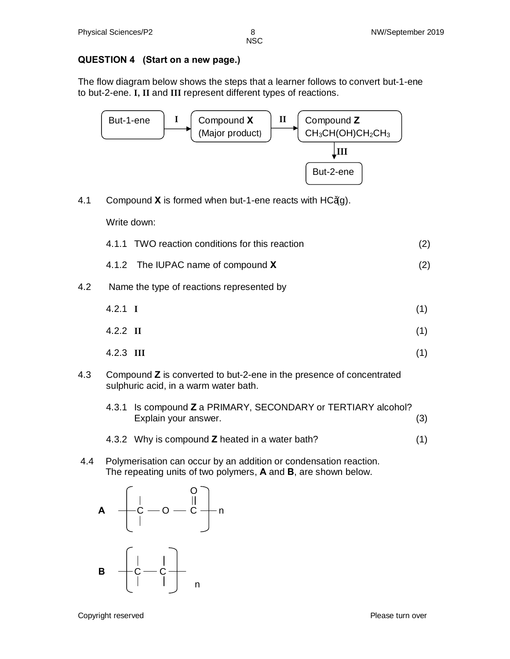### **QUESTION 4 (Start on a new page.)**

The flow diagram below shows the steps that a learner follows to convert but-1-ene to but-2-ene. **I, II** and **III** represent different types of reactions.



4.1 Compound **X** is formed when but-1-ene reacts with HC (g).

Write down:

|  | 4.1.1 TWO reaction conditions for this reaction |  |
|--|-------------------------------------------------|--|
|--|-------------------------------------------------|--|

- 4.1.2 The IUPAC name of compound **X** (2)
- 4.2 Name the type of reactions represented by

| $4.2.1 \quad I$ | (1) |
|-----------------|-----|
| $4.2.2$ II      | (1) |

- 4.2.3 **III** (1)
- 4.3 Compound **Z** is converted to but-2-ene in the presence of concentrated sulphuric acid, in a warm water bath.
	- 4.3.1 Is compound **Z** a PRIMARY, SECONDARY or TERTIARY alcohol? Explain your answer. (3)
	- 4.3.2 Why is compound **Z** heated in a water bath? (1)
- 4.4 Polymerisation can occur by an addition or condensation reaction. The repeating units of two polymers, **A** and **B**, are shown below.

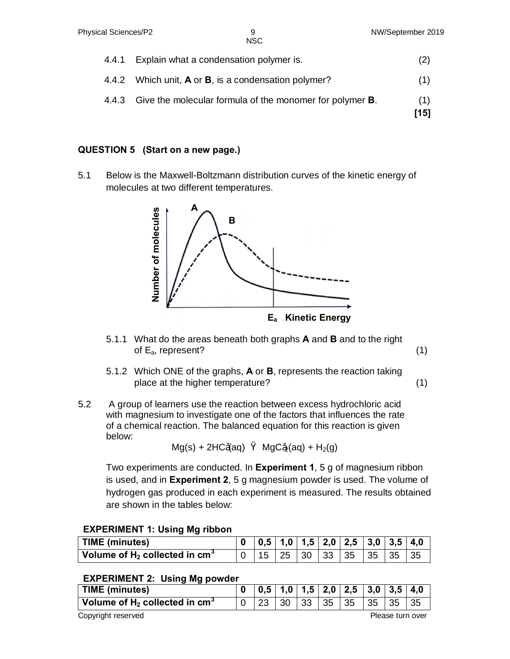| 4.4.1 | Explain what a condensation polymer is.                                | (2)         |
|-------|------------------------------------------------------------------------|-------------|
|       | 4.4.2 Which unit, $\bf{A}$ or $\bf{B}$ , is a condensation polymer?    | (1)         |
|       | 4.4.3 Give the molecular formula of the monomer for polymer <b>B</b> . | (1)<br>[15] |

# **QUESTION 5 (Start on a new page.)**

5.1 Below is the Maxwell-Boltzmann distribution curves of the kinetic energy of molecules at two different temperatures.



- 5.1.1 What do the areas beneath both graphs **A** and **B** and to the right of  $E_a$ , represent? (1)
- 5.1.2 Which ONE of the graphs, **A** or **B**, represents the reaction taking place at the higher temperature? (1)
- 5.2 A group of learners use the reaction between excess hydrochloric acid with magnesium to investigate one of the factors that influences the rate of a chemical reaction. The balanced equation for this reaction is given below:

$$
Mg(s) + 2HC (aq) \qquad MgC_2(aq) + H_2(g)
$$

Two experiments are conducted. In **Experiment 1**, 5 g of magnesium ribbon is used, and in **Experiment 2**, 5 g magnesium powder is used. The volume of hydrogen gas produced in each experiment is measured. The results obtained are shown in the tables below:

# **EXPERIMENT 1: Using Mg ribbon**

| TIME (minutes)                                                              |  |  | $0 \mid 0.5 \mid 1.0 \mid 1.5 \mid 2.0 \mid 2.5 \mid 3.0 \mid 3.5 \mid 4.0$ |  |  |
|-----------------------------------------------------------------------------|--|--|-----------------------------------------------------------------------------|--|--|
| $^{\mathrm{+}}$ Volume of H $_{\mathrm{2}}$ collected in cm $^{\mathrm{3}}$ |  |  | 15   25   30   33   35   35   35   35                                       |  |  |

### **EXPERIMENT 2: Using Mg powder**

| <b>TIME (minutes)</b>                        |  |  |     |     |    | 0.5 1.0 1.5 2.0 2.5 3.0 3.5 4.0 |    |  |  |
|----------------------------------------------|--|--|-----|-----|----|---------------------------------|----|--|--|
| Volume of $H_2$ collected in cm <sup>3</sup> |  |  | -30 | 133 | 35 | 35                              | 35 |  |  |
| Copyright reserved<br>Please turn over       |  |  |     |     |    |                                 |    |  |  |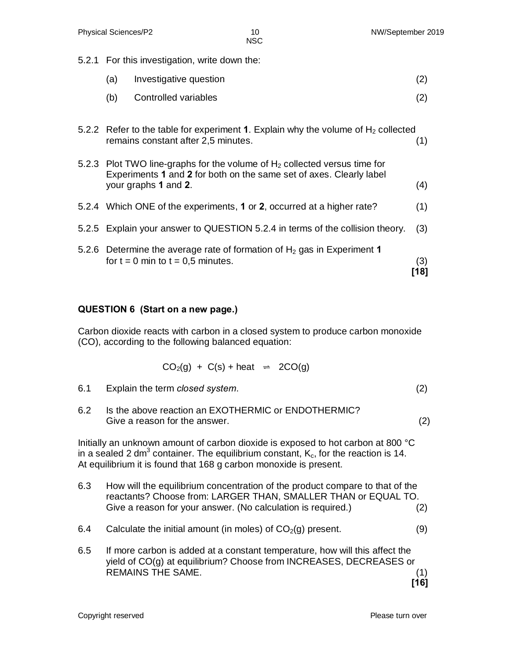5.2.1 For this investigation, write down the:

| (a) | Investigative question | (2) |
|-----|------------------------|-----|
| (b) | Controlled variables   | (2) |
|     |                        |     |

5.2.2 Refer to the table for experiment **1**. Explain why the volume of  $H_2$  collected remains constant after 2,5 minutes. (1)

| 5.2.3 Plot TWO line-graphs for the volume of $H_2$ collected versus time for |     |
|------------------------------------------------------------------------------|-----|
| Experiments 1 and 2 for both on the same set of axes. Clearly label          |     |
| your graphs 1 and 2.                                                         | (4) |

- 5.2.4 Which ONE of the experiments, **1** or **2**, occurred at a higher rate? (1)
- 5.2.5 Explain your answer to QUESTION 5.2.4 in terms of the collision theory. (3)
- 5.2.6 Determine the average rate of formation of  $H<sub>2</sub>$  gas in Experiment 1 for  $t = 0$  min to  $t = 0.5$  minutes. (3)  **[18]**

### **QUESTION 6 (Start on a new page.)**

Carbon dioxide reacts with carbon in a closed system to produce carbon monoxide (CO), according to the following balanced equation:

$$
CO2(g) + C(s) + heat = 2CO(g)
$$

6.1 Explain the term *closed system*. (2)

6.2 Is the above reaction an EXOTHERMIC or ENDOTHERMIC? Give a reason for the answer. (2)

Initially an unknown amount of carbon dioxide is exposed to hot carbon at 800 °C in a sealed 2 dm<sup>3</sup> container. The equilibrium constant,  $K_c$ , for the reaction is 14. At equilibrium it is found that 168 g carbon monoxide is present.

- 6.3 How will the equilibrium concentration of the product compare to that of the reactants? Choose from: LARGER THAN, SMALLER THAN or EQUAL TO. Give a reason for your answer. (No calculation is required.) (2)
- 6.4 Calculate the initial amount (in moles) of  $CO<sub>2</sub>(q)$  present. (9)
- 6.5 If more carbon is added at a constant temperature, how will this affect the yield of CO(g) at equilibrium? Choose from INCREASES, DECREASES or REMAINS THE SAME. (1)  **[16]**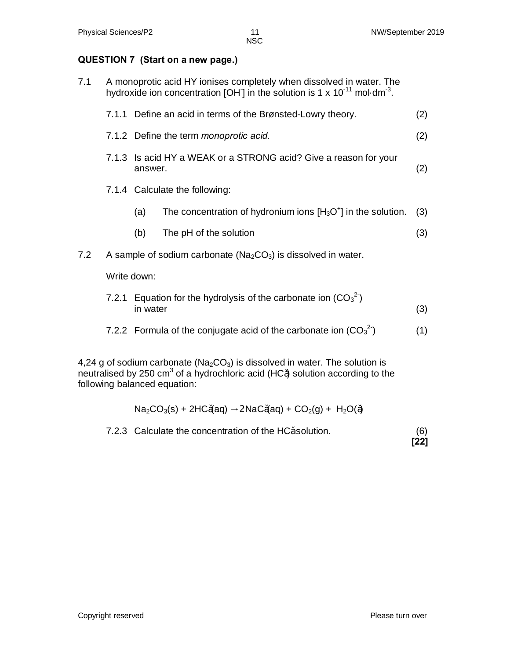#### **QUESTION 7 (Start on a new page.)**

| 7.1 |             | A monoprotic acid HY ionises completely when dissolved in water. The<br>hydroxide ion concentration [OH] in the solution is 1 x $10^{-11}$ mol $\cdot$ dm <sup>-3</sup> . |     |
|-----|-------------|---------------------------------------------------------------------------------------------------------------------------------------------------------------------------|-----|
|     |             | 7.1.1 Define an acid in terms of the Brønsted-Lowry theory.                                                                                                               | (2) |
|     |             | 7.1.2 Define the term <i>monoprotic acid.</i>                                                                                                                             | (2) |
|     | answer.     | 7.1.3 Is acid HY a WEAK or a STRONG acid? Give a reason for your                                                                                                          | (2) |
|     |             | 7.1.4 Calculate the following:                                                                                                                                            |     |
|     | (a)         | The concentration of hydronium ions $[H_3O^+]$ in the solution.                                                                                                           | (3) |
|     | (b)         | The pH of the solution                                                                                                                                                    | (3) |
| 7.2 |             | A sample of sodium carbonate ( $Na2CO3$ ) is dissolved in water.                                                                                                          |     |
|     | Write down: |                                                                                                                                                                           |     |
|     | in water    | 7.2.1 Equation for the hydrolysis of the carbonate ion $(CO_3^2)$                                                                                                         | (3) |

7.2.2 Formula of the conjugate acid of the carbonate ion  $(CO_3^2)$  $(1)$ 

4,24 g of sodium carbonate ( $Na<sub>2</sub>CO<sub>3</sub>$ ) is dissolved in water. The solution is neutralised by 250 cm<sup>3</sup> of a hydrochloric acid (HC) solution according to the following balanced equation:

$$
Na_2CO_3(s) + 2HC (aq) \rightarrow 2NaC (aq) + CO_2(g) + H_2O( )
$$

7.2.3 Calculate the concentration of the HC solution. (6)  **[22]**

Copyright reserved **Please** turn over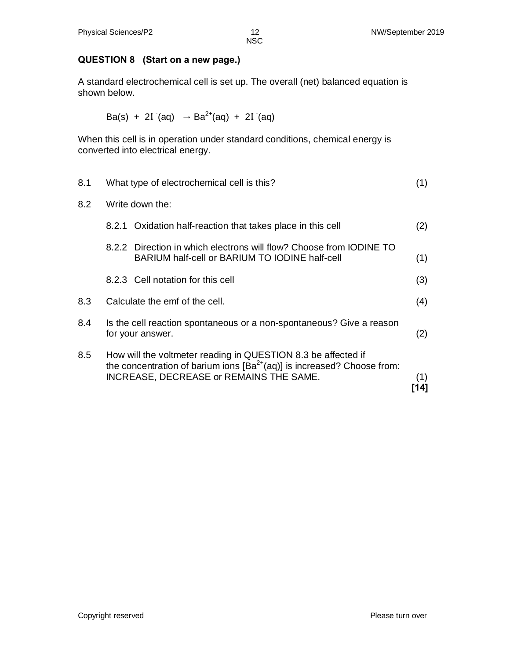# **QUESTION 8 (Start on a new page.)**

A standard electrochemical cell is set up. The overall (net) balanced equation is shown below.

Ba(s) + 2I- (aq) → Ba2+(aq) + 2I- (aq)

When this cell is in operation under standard conditions, chemical energy is converted into electrical energy.

| 8.1 | What type of electrochemical cell is this?                                                                                                                                                     | (1)        |
|-----|------------------------------------------------------------------------------------------------------------------------------------------------------------------------------------------------|------------|
| 8.2 | Write down the:                                                                                                                                                                                |            |
|     | 8.2.1 Oxidation half-reaction that takes place in this cell                                                                                                                                    | (2)        |
|     | 8.2.2 Direction in which electrons will flow? Choose from IODINE TO<br>BARIUM half-cell or BARIUM TO IODINE half-cell                                                                          | (1)        |
|     | 8.2.3 Cell notation for this cell                                                                                                                                                              | (3)        |
| 8.3 | Calculate the emf of the cell.                                                                                                                                                                 | (4)        |
| 8.4 | Is the cell reaction spontaneous or a non-spontaneous? Give a reason<br>for your answer.                                                                                                       | (2)        |
| 8.5 | How will the voltmeter reading in QUESTION 8.3 be affected if<br>the concentration of barium ions $[Ba^{2+}(aq)]$ is increased? Choose from:<br><b>INCREASE, DECREASE or REMAINS THE SAME.</b> | (1)<br>14] |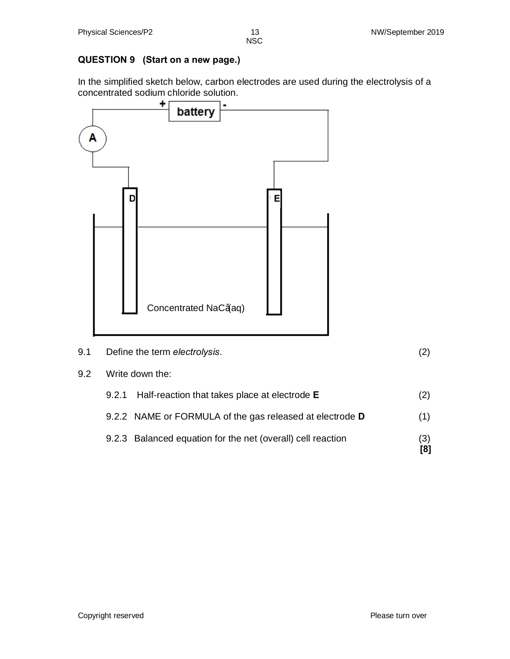# **QUESTION 9 (Start on a new page.)**

In the simplified sketch below, carbon electrodes are used during the electrolysis of a concentrated sodium chloride solution.



- 9.1 Define the term *electrolysis*. (2)
- 9.2 Write down the:

| 9.2.1 Half-reaction that takes place at electrode <b>E</b>  | (2)        |
|-------------------------------------------------------------|------------|
| 9.2.2 NAME or FORMULA of the gas released at electrode D    | (1)        |
| 9.2.3 Balanced equation for the net (overall) cell reaction | (3)<br>[8] |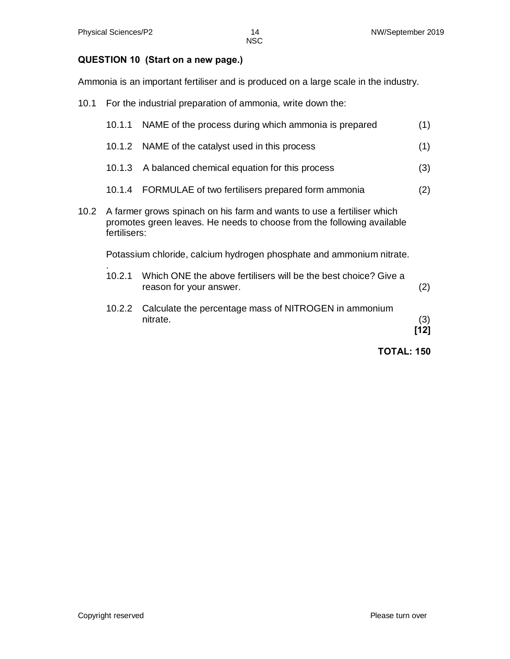#### **QUESTION 10 (Start on a new page.)**

Ammonia is an important fertiliser and is produced on a large scale in the industry.

10.1 For the industrial preparation of ammonia, write down the:

|      |              | <b>TOTAL: 150</b>                                                                                                                                |             |
|------|--------------|--------------------------------------------------------------------------------------------------------------------------------------------------|-------------|
|      |              | nitrate.                                                                                                                                         | (3)<br>[12] |
|      | 10.2.2       | Calculate the percentage mass of NITROGEN in ammonium                                                                                            |             |
|      | 10.2.1       | Which ONE the above fertilisers will be the best choice? Give a<br>reason for your answer.                                                       | (2)         |
|      |              | Potassium chloride, calcium hydrogen phosphate and ammonium nitrate.                                                                             |             |
| 10.2 | fertilisers: | A farmer grows spinach on his farm and wants to use a fertiliser which<br>promotes green leaves. He needs to choose from the following available |             |
|      | 10.1.4       | FORMULAE of two fertilisers prepared form ammonia                                                                                                | (2)         |
|      | 10.1.3       | A balanced chemical equation for this process                                                                                                    | (3)         |
|      | 10.1.2       | NAME of the catalyst used in this process                                                                                                        | (1)         |
|      | 10.1.1       | NAME of the process during which ammonia is prepared                                                                                             | (1)         |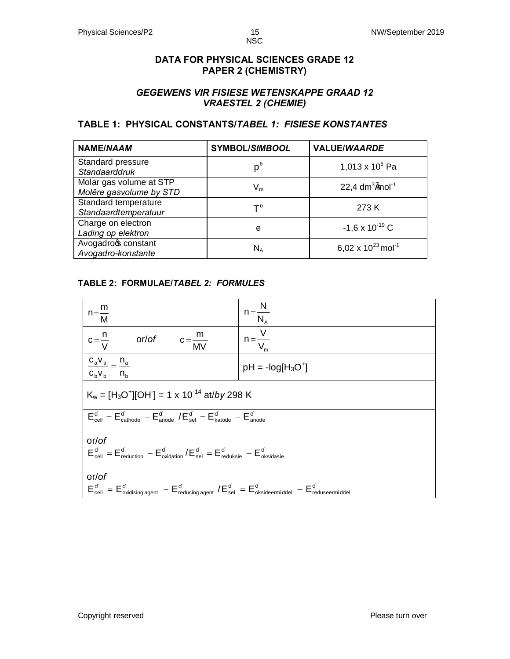#### **DATA FOR PHYSICAL SCIENCES GRADE 12 PAPER 2 (CHEMISTRY)**

### *GEGEWENS VIR FISIESE WETENSKAPPE GRAAD 12 VRAESTEL 2 (CHEMIE)*

### **TABLE 1: PHYSICAL CONSTANTS/***TABEL 1: FISIESE KONSTANTES*

| <b>NAME/NAAM</b>                                   | <b>SYMBOL/SIMBOOL</b>     | <b>VALUE/WAARDE</b>                |
|----------------------------------------------------|---------------------------|------------------------------------|
| Standard pressure<br>Standaarddruk                 | $p^{\theta}$              | 1,013 x $10^5$ Pa                  |
| Molar gas volume at STP<br>Molêre gasvolume by STD | $\mathsf{V}_{\mathsf{m}}$ | 22,4 $dm^3$ mol <sup>-1</sup>      |
| Standard temperature<br>Standaardtemperatuur       | $\mathsf{T}^{\, \theta}$  | 273 K                              |
| Charge on electron<br>Lading op elektron           | e                         | $-1,6 \times 10^{-19}$ C           |
| Avogadroc constant<br>Avogadro-konstante           | $N_A$                     | 6,02 x $10^{23}$ mol <sup>-1</sup> |

#### **TABLE 2: FORMULAE/***TABEL 2: FORMULES*

| $n = \frac{m}{M}$                                                                                                  | $n = \frac{N}{N_A}$   |  |  |  |  |  |  |  |
|--------------------------------------------------------------------------------------------------------------------|-----------------------|--|--|--|--|--|--|--|
| or/of $c=\frac{m}{MV}$<br>$c = \frac{n}{V}$                                                                        | $n = \frac{V}{V_{m}}$ |  |  |  |  |  |  |  |
| $\frac{c_a v_a}{a} = \frac{n_a}{a}$<br>$C_bV_b$ $n_b$                                                              | $pH = -log[H3O+]$     |  |  |  |  |  |  |  |
| $K_w = [H_3O^+][OH] = 1 \times 10^{-14}$ at/by 298 K                                                               |                       |  |  |  |  |  |  |  |
| $E_{cell} = E_{cathode} - E_{anode} / E_{sel} = E_{katode} - E_{anode}$                                            |                       |  |  |  |  |  |  |  |
| or/of<br>$E_{cell} = E_{reduction} - E_{oxidation}/E_{sel} = E_{reduksie} - E_{oksidasie}$                         |                       |  |  |  |  |  |  |  |
| or/of<br>$E_{cell} = E_{oxidising agent} - E_{reducing agent} / E_{sel} = E_{oksideermiddel} - E_{reduseermiddel}$ |                       |  |  |  |  |  |  |  |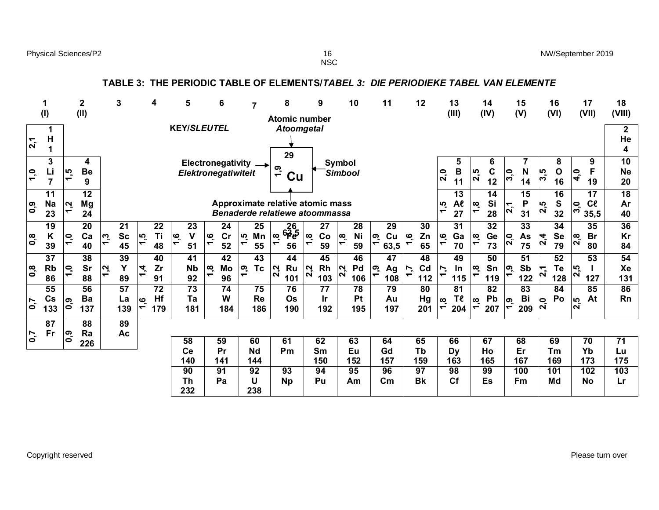Physical Sciences/P2 **NW/September 2019** 16 NW/September 2019

 $\frac{16}{NSC}$ 

|                                 |                                    |                                                     |                          |                                            | TABLE 3:                     |               |                 |                            |                         |                                                           |                                |                        | THE PERIODIC TABLE OF ELEMENTS/TABEL 3:                            |                                      |                              |                                      |                        | DIE PERIODIEKE TABEL VAN ELEMENTE                           |         |                             |                                 |                  |                                                  |                 |                             |                              |                  |                            |                    |                                           |                             |
|---------------------------------|------------------------------------|-----------------------------------------------------|--------------------------|--------------------------------------------|------------------------------|---------------|-----------------|----------------------------|-------------------------|-----------------------------------------------------------|--------------------------------|------------------------|--------------------------------------------------------------------|--------------------------------------|------------------------------|--------------------------------------|------------------------|-------------------------------------------------------------|---------|-----------------------------|---------------------------------|------------------|--------------------------------------------------|-----------------|-----------------------------|------------------------------|------------------|----------------------------|--------------------|-------------------------------------------|-----------------------------|
|                                 | 1<br>(1)                           |                                                     | $\boldsymbol{2}$<br>(II) |                                            | 3                            |               | 4               | 5                          |                         | 6                                                         |                                | $\overline{7}$         | 8<br><b>Atomic number</b>                                          |                                      | 9                            |                                      | 10                     | 11                                                          |         | 12                          |                                 | 13<br>(III)      |                                                  | 14<br>(IV)      |                             | 15<br>(V)                    |                  | 16<br>(VI)                 |                    | 17<br>(VII)                               | 18<br>(VIII)                |
| 2,1                             | 1<br>H<br>1                        |                                                     |                          |                                            |                              |               |                 |                            |                         | <b>KEY/SLEUTEL</b>                                        |                                |                        | <b>Atoomgetal</b><br>29                                            |                                      |                              |                                      |                        |                                                             |         |                             |                                 |                  |                                                  |                 |                             |                              |                  |                            |                    |                                           | $\mathbf{2}$<br>He<br>4     |
| $\overline{1}$ , $\overline{0}$ | 3<br>Li<br>$\overline{7}$          | 1,5                                                 | 4<br><b>Be</b><br>9      |                                            |                              |               |                 |                            |                         | Electronegativity<br>Elektronegatiwiteit                  |                                |                        | 1,9<br>Cu                                                          |                                      |                              | <b>Symbol</b><br>Simbool             |                        |                                                             |         |                             | 2,0                             | 5<br>B<br>11     | 2,5                                              | 6<br>C<br>12    | 3,0                         | N<br>14                      | 3,5              | 8<br>$\mathbf 0$<br>16     | 4,0                | 9<br>F<br>19                              | 10<br><b>Ne</b><br>20       |
| 0,9                             | 11<br><b>Na</b><br>23              | $\mathbf{v}$<br>$\overline{\phantom{0}}$            | 12<br>Mg<br>24           |                                            |                              |               |                 |                            |                         |                                                           |                                |                        | Approximate relative atomic mass<br>Benaderde relatiewe atoommassa |                                      |                              |                                      |                        |                                                             |         |                             | $\ddot{1}$                      | 13<br>Al<br>27   | 1,8                                              | 14<br>Si<br>28  | 2,1                         | $\overline{15}$<br>P<br>31   | $\overline{2,5}$ | $\overline{16}$<br>S<br>32 | 3,0                | $\overline{17}$<br>C <sub>l</sub><br>35,5 | $\overline{18}$<br>Ar<br>40 |
| $\mathbf{0},\mathbf{8}$         | 19<br>K<br>39                      | $\overline{\mathsf{C}}$<br>$\overline{\phantom{0}}$ | 20<br>Ca<br>40           | 1,3                                        | 21<br><b>Sc</b><br>45        | $\frac{1}{5}$ | 22<br>Ti<br>48  | ڡؚ<br>$\blacktriangledown$ | 23<br>$\mathbf v$<br>51 | 24<br>cr<br>ِي<br>$\blacktriangledown$<br>52              | rù<br>$\overline{\phantom{0}}$ | 25<br>Mn<br>55         | <u>26</u><br>6ခို့ခဲ့<br>$\infty$<br>$\blacktriangledown$<br>56    | $\infty$<br>$\overline{\phantom{0}}$ | 27<br>Co<br>59               | $\infty$<br>$\overline{\phantom{0}}$ | 28<br>Ni<br>59         | 29<br>Cu<br>ဇာ့<br>$\blacktriangledown$<br>63,5             | ِم<br>٣ | 30<br>Zn<br>65              | ِهِ<br>$\overline{\phantom{0}}$ | 31<br>Ga<br>70   | $\tilde{\mathbf{c}}$<br>$\overline{\phantom{0}}$ | 32<br>Ge<br>73  | $\overline{2,0}$            | 33<br>As<br>75               | $\frac{4}{3}$    | 34<br><b>Se</b><br>79      | $\overline{2,8}$   | 35<br><b>Br</b><br>80                     | 36<br>Kr<br>84              |
| $\overline{0,8}$                | $\overline{37}$<br><b>Rb</b><br>86 | $\overline{1,0}$                                    | 38<br>Sr<br>88           | $\overline{a}$<br>$\overline{\phantom{0}}$ | 39<br>Y<br>89                | $\dot{4}$     | 40<br>Zr<br>91  |                            | 41<br><b>Nb</b><br>92   | $\overline{42}$<br>Mo<br>∣œ<br>$\blacktriangledown$<br>96 | $\ddot{6}$                     | 43<br><b>Tc</b>        | 44<br><b>Ru</b><br>2,2<br>101                                      | 2,2                                  | $\overline{45}$<br>Rh<br>103 | $\overline{2.2}$                     | 46<br>Pd<br>106        | $\overline{47}$<br>ၜႄၟ<br>Ag<br>$\blacktriangledown$<br>108 | ż<br>٣  | 48<br>C <sub>d</sub><br>112 | Ľ.<br>$\blacktriangledown$      | 49<br>In<br>115  | $\infty$<br>$\blacktriangledown$                 | 50<br>Sn<br>119 | ဇာ့<br>$\blacktriangledown$ | $\overline{51}$<br>Sb<br>122 | $\overline{2,1}$ | 52<br>Te<br>128            | 2,5                | $\overline{53}$<br>127                    | 54<br>Xe<br>131             |
| 0,7                             | 55<br>$\mathsf{Cs}$<br>133         | $\overline{0,0}$                                    | 56<br>Ba<br>137          |                                            | $\overline{57}$<br>La<br>139 | 1,6           | 72<br>Hf<br>179 |                            | 73<br>Ta<br>181         | 74<br>W<br>184                                            |                                | 75<br><b>Re</b><br>186 | 76<br>Os<br>190                                                    |                                      | 77<br>Ir<br>192              |                                      | 78<br><b>Pt</b><br>195 | 79<br>Au<br>197                                             |         | 80<br>Hg<br>201             | œ<br>$\overline{\phantom{0}}$   | 81<br>Τe<br>204  | $\tilde{\mathbf{c}}$<br>$\overline{\phantom{0}}$ | 82<br>Pb<br>207 | 1,9                         | 83<br>Bi<br>209              | 2,0              | 84<br>Po                   | rÙ<br>$\mathbf{a}$ | 85<br>At                                  | 86<br><b>Rn</b>             |
| 0,7                             | 87<br>Fr                           | $\overline{0,0}$                                    | 88<br>Ra<br>226          |                                            | 89<br>Ac                     |               |                 | 58                         |                         | 59                                                        |                                | 60                     | 61                                                                 | 62                                   |                              |                                      | 63                     | 64                                                          |         | 65                          |                                 | 66               |                                                  | 67              |                             | 68                           |                  | 69                         |                    | 70                                        | 71                          |
|                                 |                                    |                                                     |                          |                                            |                              |               |                 | Ce<br>140                  |                         | Pr<br>141                                                 |                                | <b>Nd</b><br>144       | Pm                                                                 | Sm<br>150                            |                              |                                      | Eu<br>152              | Gd<br>157                                                   |         | Tb<br>159                   |                                 | <b>Dy</b><br>163 |                                                  | Ho<br>165       |                             | Er<br>167                    |                  | Tm<br>169                  |                    | Yb<br>173                                 | Lu<br>175                   |
|                                 |                                    |                                                     |                          |                                            |                              |               |                 | 90<br><b>Th</b>            |                         | 91<br>Pa                                                  |                                | 92<br>U                | 93<br><b>Np</b>                                                    | 94<br>Pu                             |                              |                                      | 95<br>Am               | 96<br>$\mathsf{c}_{\mathsf{m}}$                             |         | 97<br><b>Bk</b>             |                                 | 98<br><b>Cf</b>  |                                                  | 99<br>Es        |                             | 100<br>Fm                    |                  | 101<br>Md                  |                    | 102<br><b>No</b>                          | 103<br>Lr                   |

Copyright reserved Please turn over

**232**

**238**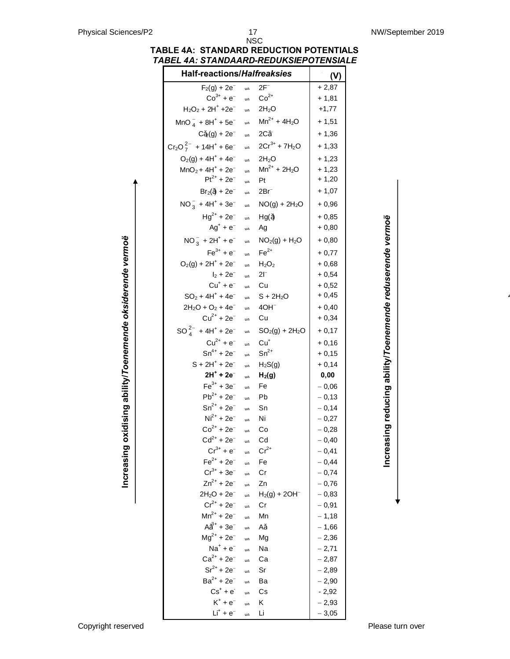#### **TABLE 4A: STANDARD REDUCTION POTENTIALS** *TABEL 4A: STANDAARD-REDUKSIEPOTENSIALE*

| <b>Half-reactions/Halfreaksies</b>                  |                                |                        | (V)                |
|-----------------------------------------------------|--------------------------------|------------------------|--------------------|
| $F_2(g) + 2e^-$                                     | $\Rightarrow$                  | $2F^-$                 | $+2,87$            |
| $Co^{3+} + e^{-}$                                   | $\Rightarrow$                  | $Co2+$                 | $+1,81$            |
| $H_2O_2 + 2H^+ + 2e^-$                              | $\Rightarrow$                  | $2H_2O$                | $+1,77$            |
| $MnO_4^- + 8H^+ + 5e^-$                             | $\Rightarrow$                  | $Mn^{2+} + 4H_2O$      | $+1,51$            |
| $C_2(g) + 2e^-$                                     | $\Rightarrow$                  | $2C^-$                 | $+1,36$            |
| $Cr_2O_7^{2-}$ + 14H <sup>+</sup> + 6e <sup>-</sup> | $\Rightarrow$                  | $2Cr^{3+} + 7H_2O$     | $+1,33$            |
| $O_2(g) + 4H^+ + 4e^-$                              | $\Rightarrow$                  | 2H <sub>2</sub> O      | $+1,23$            |
| $MnO_2 + 4H^+ + 2e^-$                               | $\Rightarrow$                  | $Mn^{2+} + 2H_2O$      | $+1,23$            |
| $Pt^{2+} + 2e^{-}$                                  | $\Rightarrow$                  | Pt                     | $+1,20$            |
| $Br_2( ) + 2e^-$                                    | $\Rightarrow$                  | 2Brī                   | $+1,07$            |
| $NO_3^- + 4H^+ + 3e^-$                              | $\Rightarrow$                  | $NO(g) + 2H_2O$        | $+0,96$            |
| $Hg^{2+} + 2e^{-}$                                  | $\Rightarrow$                  | Hg()                   | $+0,85$            |
| $Ag^+ + e^-$                                        | $\Rightarrow$                  | Ag                     | $+0,80$            |
| $NO_3^- + 2H^+ + e^-$                               | $\Rightarrow$                  | $NO2(g) + H2O$         | + 0,80             |
| $Fe^{3+} + e^{-}$                                   | $\Rightarrow$                  | $Fe2+$                 | $+0,77$            |
| $O_2(g) + 2H^+ + 2e^-$                              | $\Rightarrow$                  | $H_2O_2$               | $+0,68$            |
| $I_2 + 2e^-$                                        | $\Rightarrow$                  | $2\mathsf{I}^-$        | $+0,54$            |
| $Cu+ + e-$                                          | $\Rightarrow$                  | Cu                     | $+0,52$            |
| $SO_2 + 4H^+ + 4e^-$                                | $\Rightarrow$                  | $S + 2H_2O$            | $+0,45$            |
| $2H_2O + O_2 + 4e^-$                                | $\Rightarrow$                  | $4OH^-$                | $+0,40$            |
| $Cu^{2+} + 2e^{-}$                                  | $\Rightarrow$                  | Cu                     | $+0,34$            |
| $SO_4^{2-}$ + 4H <sup>+</sup> + 2e <sup>-</sup>     | $\Rightarrow$                  | $SO2(g) + 2H2O$        | $+0,17$            |
| $Cu^{2+} + e^{-}$                                   | $\Rightarrow$                  | $Cu+$                  | $+0,16$            |
| $Sn^{4+} + 2e^{-}$                                  | $\Rightarrow$                  | $Sn^{2+}$              | $+0,15$            |
| $S + 2H^{+} + 2e^{-}$                               | $\Rightarrow$                  | $H_2S(g)$              | $+0,14$            |
| $2H^+ + 2e^-$                                       | $\Rightarrow$                  | H <sub>2</sub> (g)     | 0,00               |
| $Fe^{3+} + 3e^{-}$                                  | $\Rightarrow$                  | Fe                     | $-0,06$            |
| $Pb^{2+} + 2e^{-}$                                  | $\Rightarrow$                  | Pb                     | $-0,13$            |
| $Sn^{2+} + 2e^{-}$                                  | $\Rightarrow$                  | Sn                     | $-0,14$            |
| $Ni2+ + 2e-$                                        | $\Rightarrow$                  | Ni                     | $-0,27$            |
| $Co^{2+} + 2e^{-}$                                  | $\Rightarrow$                  | Cо                     | $-0,28$            |
| $Cd^{2+} + 2e^{-}$                                  | $\Rightarrow$                  | Cd                     | $-0,40$            |
| $Cr^{3+} + e^{-}$                                   | $\Rightarrow$                  | $Cr^{2+}$              | $-0,41$            |
| $Fe^{2+} + 2e^{-}$                                  | $\Rightarrow$                  | Fe                     | $-0,44$            |
| $Cr^{3+} + 3e^{-}$                                  | $\Rightarrow$                  | Сr                     | $-0,74$            |
| $Zn^{2+} + 2e^{-}$                                  | $\Rightarrow$                  | Zn                     | $-0,76$            |
| $2H_2O + 2e^-$<br>$Cr^{2+} + 2e^{-}$                | $\Rightarrow$                  | $H_2(g) + 2OH^-$<br>Cr | $-0,83$            |
| $Mn^{2+} + 2e^{-}$                                  | $\Rightarrow$                  | Mn                     | $-0,91$            |
| $A^{3+} + 3e^{-}$                                   | $\Rightarrow$                  | Α                      | $-1,18$<br>$-1,66$ |
| $Mg^{2+} + 2e^{-}$                                  | $\Rightarrow$<br>$\Rightarrow$ | Mg                     | $-2,36$            |
| $Na+ + e-$                                          | $\Rightarrow$                  | Na                     | $-2,71$            |
| $Ca^{2+} + 2e^{-}$                                  | $\Rightarrow$                  | Сa                     | $-2,87$            |
| $Sr^{2+} + 2e^{-}$                                  | $\Rightarrow$                  | Sr                     | $-2,89$            |
| $Ba^{2+} + 2e^{-}$                                  | $\Rightarrow$                  | Ba                     | $-2,90$            |
| $Cs^+ + e^-$                                        | $\Rightarrow$                  | Сs                     | $-2,92$            |
| $K^+ + e^-$                                         | $\Rightarrow$                  | κ                      | $-2,93$            |
| $Li+ + e-$                                          | $\Rightarrow$                  | Li                     | $-3,05$            |

Increasing reducing ability/Toenemende reduserende vermoë **Increasing reducing ability/***Toenemende reduserende vermoë*

**Increasing oxidising ability/***Toenemende oksiderende vermoë*

Increasing oxidising ability/Toenemende oksiderende vermoë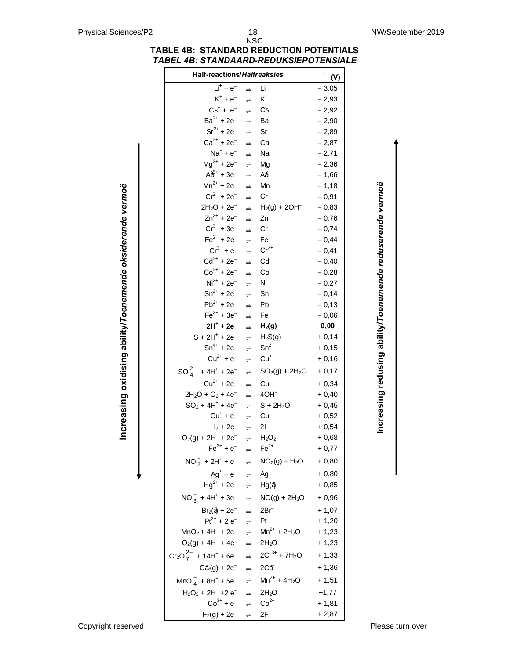#### **TABLE 4B: STANDARD REDUCTION POTENTIALS** *TABEL 4B: STANDAARD-REDUKSIEPOTENSIALE*

|                                                            | <b>Half-reactions/Halfreaksies</b>                                                                      |                                |                                                     | (V)                |
|------------------------------------------------------------|---------------------------------------------------------------------------------------------------------|--------------------------------|-----------------------------------------------------|--------------------|
|                                                            | $Li+ + e-$                                                                                              | $\Rightarrow$                  | Li                                                  | $-3,05$            |
|                                                            | $K^+ + e^-$                                                                                             | $\Rightarrow$                  | K                                                   | $-2,93$            |
|                                                            | $Cs^+ + e^-$                                                                                            | $\Rightarrow$                  | $\mathbb{C}\mathsf{s}$                              | $-2,92$            |
|                                                            | $Ba^{2+} + 2e^{-}$                                                                                      | $\Rightarrow$                  | Ba                                                  | $-2,90$            |
|                                                            | $Sr^{2+} + 2e^-$                                                                                        | $\Rightarrow$                  | Sr                                                  | $-2,89$            |
|                                                            | $Ca^{2+} + 2e^{-}$                                                                                      | $\Rightarrow$                  | Ca                                                  | $-2,87$            |
|                                                            | $Na^+ + e^-$                                                                                            | $\Rightarrow$                  | Na                                                  | $-2,71$            |
|                                                            | $Mg^{2+} + 2e^{-}$                                                                                      | $\Rightarrow$                  | Mg                                                  | $-2,36$            |
|                                                            | $A^{3+} + 3e^{-}$                                                                                       | $\Rightarrow$                  | A                                                   | $-1,66$            |
|                                                            | $Mn^{2+} + 2e^{-}$                                                                                      | $\Rightarrow$                  | Mn                                                  | $-1,18$            |
|                                                            | $Cr^{2+} + 2e^{-}$                                                                                      | $\Rightarrow$                  | Cr                                                  | $-0,91$            |
|                                                            | $2H_2O + 2e^-$                                                                                          |                                | $\Rightarrow$ H <sub>2</sub> (g) + 2OH <sup>-</sup> | $-0,83$            |
|                                                            | $Zn^{2+} + 2e^{-}$                                                                                      | $\Rightarrow$                  | Zn                                                  | $-0,76$            |
|                                                            | $Cr^{3+} + 3e^{-}$                                                                                      | $\Rightarrow$                  | Cr                                                  | $-0,74$            |
|                                                            | $Fe^{2+} + 2e^{-}$                                                                                      | $\Rightarrow$                  | Fe                                                  | $-0,44$            |
|                                                            | $Cr^{3+} + e^{-}$                                                                                       | $\Rightarrow$                  | $Cr^{2+}$                                           | $-0,41$            |
|                                                            | $Cd^{2+} + 2e^{-}$                                                                                      | $\Rightarrow$                  | $\mathsf{Cd}$                                       | $-0,40$            |
|                                                            | $Co^{2+} + 2e^{-}$                                                                                      | $\Rightarrow$                  | Co                                                  | $-0,28$            |
|                                                            | $Ni2+ + 2e-$                                                                                            | $\Rightarrow$                  | Ni                                                  | $-0,27$            |
|                                                            | $Sn^{2+} + 2e^{-}$                                                                                      | $\Rightarrow$                  | Sn                                                  | $-0,14$            |
|                                                            | $Pb^{2+} + 2e^{-}$                                                                                      | $\Rightarrow$                  | Pb                                                  | $-0,13$            |
|                                                            | $Fe^{3+} + 3e^{-}$                                                                                      | $\Rightarrow$                  | Fe                                                  | $-0,06$            |
|                                                            | $2H^{+}$ + $2e^{-}$                                                                                     | $\Rightarrow$                  | H <sub>2</sub> (g)                                  | 0,00               |
|                                                            | $S + 2H^{+} + 2e^{-}$                                                                                   | $\Rightarrow$                  | $H_2S(g)$                                           | $+0,14$            |
|                                                            | $Sn^{4+} + 2e^{-}$                                                                                      | $\Rightarrow$                  | $Sn^{2+}$                                           | $+0,15$            |
| Increasing oxidising ability/Toenemende oksiderende vermoë | $Cu^{2+} + e^{-}$<br>$SO_4^{2-}$ + 4H <sup>+</sup> + 2e <sup>-</sup>                                    | $\Rightarrow$<br>$\Rightarrow$ | $Cu+$<br>$SO_2(g) + 2H_2O$                          | $+0,16$<br>$+0,17$ |
|                                                            | $Cu^{2+} + 2e^{-}$                                                                                      |                                |                                                     |                    |
|                                                            |                                                                                                         | $\Rightarrow$                  | Cu                                                  | $+0,34$            |
|                                                            | $2H_2O + O_2 + 4e^-$<br>$SO_2 + 4H^+ + 4e^-$                                                            | $\Rightarrow$                  | $\Rightarrow$ 40H <sup>-</sup>                      | $+0,40$            |
|                                                            | $Cu^+ + e^-$                                                                                            |                                | $S + 2H2O$<br>Cu                                    | $+0,45$<br>$+0,52$ |
|                                                            | $I_2 + 2e^-$                                                                                            | $\Rightarrow$<br>$\Rightarrow$ | $2\Gamma$                                           | $+0,54$            |
|                                                            | $O_2(g) + 2H^+ + 2e^-$                                                                                  |                                | $\Rightarrow$ H <sub>2</sub> O <sub>2</sub>         | $+0,68$            |
|                                                            | $Fe^{3+} + e^{-} \Rightarrow Fe^{2+}$                                                                   |                                |                                                     |                    |
|                                                            | $NO_3^- + 2H^+ + e^ \Rightarrow NO_2(g) + H_2O$                                                         |                                |                                                     | $+0,77$<br>$+0,80$ |
|                                                            | $Ag^+ + e^ \Rightarrow$ Ag                                                                              |                                |                                                     | $+0,80$            |
|                                                            | $Hg^{2+} + 2e^ \Rightarrow$ $Hg()$                                                                      |                                |                                                     | $+0,85$            |
|                                                            | $NO_3^- + 4H^+ + 3e^ \Rightarrow NO(g) + 2H_2O$                                                         |                                |                                                     | $+0,96$            |
|                                                            | $Br_2() + 2e^- \rightleftharpoons 2Br^-$                                                                |                                |                                                     | $+1,07$            |
|                                                            | $Pt^{2+} + 2e^{-}$                                                                                      | $\Rightarrow$ Pt               |                                                     | $+1,20$            |
|                                                            | $MnO_2 + 4H^+ + 2e^ \Rightarrow$ $Mn^{2+} + 2H_2O$                                                      |                                |                                                     | $+1,23$            |
|                                                            | $O_2(g) + 4H^+ + 4e^ \Rightarrow$ 2H <sub>2</sub> O                                                     |                                |                                                     | $+1,23$            |
|                                                            | $Cr_2O_7^{2-}$ + 14H <sup>+</sup> + 6e <sup>-</sup> $\Rightarrow$ 2Cr <sup>3+</sup> + 7H <sub>2</sub> O |                                |                                                     | $+1,33$            |
|                                                            | $C_2(g) + 2e^ \Rightarrow$ 2C -                                                                         |                                |                                                     | $+1,36$            |
|                                                            | $MnO_4^- + 8H^+ + 5e^ \Rightarrow$ $Mn^{2+} + 4H_2O$                                                    |                                |                                                     | $+1,51$            |
|                                                            | $H_2O_2 + 2H^+ + 2e^ \Rightarrow$ 2H <sub>2</sub> O                                                     |                                |                                                     | $+1,77$            |
|                                                            | $Co^{3+} + e^{-} \Rightarrow Co^{2+}$                                                                   |                                |                                                     | $+1,81$            |
|                                                            | $F_2(g) + 2e^ \Rightarrow$                                                                              |                                | $2F^-$                                              | $+2,87$            |

Increasing oxidising ability/Toenemende oksiderende vermoë **Increasing oxidising ability/***Toenemende oksiderende vermoë*

Copyright reserved **Please** turn over

Increasing redusing ability/Toenemende reduserende vermoë **Increasing redusing ability/***Toenemende reduserende vermoë*